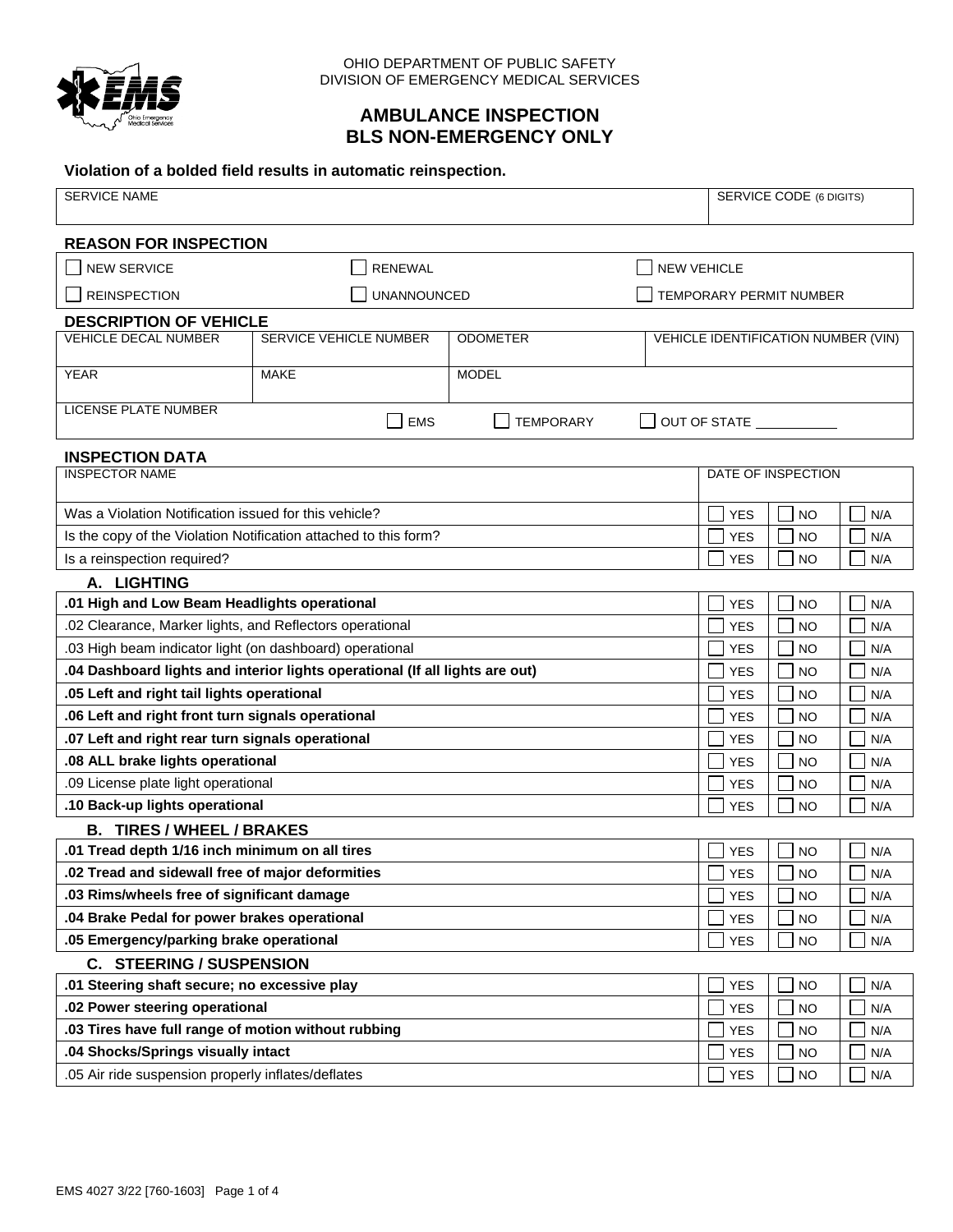

# **AMBULANCE INSPECTION BLS NON-EMERGENCY ONLY**

#### **Violation of a bolded field results in automatic reinspection.**

| <b>SERVICE NAME</b>                                          |                                                                              |                  |            | <b>SERVICE CODE (6 DIGITS)</b> |                                     |     |  |  |  |  |
|--------------------------------------------------------------|------------------------------------------------------------------------------|------------------|------------|--------------------------------|-------------------------------------|-----|--|--|--|--|
| <b>REASON FOR INSPECTION</b>                                 |                                                                              |                  |            |                                |                                     |     |  |  |  |  |
| <b>NEW SERVICE</b>                                           | <b>RENEWAL</b>                                                               |                  |            | <b>NEW VEHICLE</b>             |                                     |     |  |  |  |  |
| <b>REINSPECTION</b>                                          | <b>UNANNOUNCED</b>                                                           |                  |            | TEMPORARY PERMIT NUMBER        |                                     |     |  |  |  |  |
|                                                              |                                                                              |                  |            |                                |                                     |     |  |  |  |  |
| <b>DESCRIPTION OF VEHICLE</b><br><b>VEHICLE DECAL NUMBER</b> | SERVICE VEHICLE NUMBER                                                       | <b>ODOMETER</b>  |            |                                | VEHICLE IDENTIFICATION NUMBER (VIN) |     |  |  |  |  |
|                                                              |                                                                              |                  |            |                                |                                     |     |  |  |  |  |
| <b>YEAR</b>                                                  | <b>MAKE</b>                                                                  | <b>MODEL</b>     |            |                                |                                     |     |  |  |  |  |
| <b>LICENSE PLATE NUMBER</b>                                  | <b>EMS</b>                                                                   | <b>TEMPORARY</b> |            |                                | OUT OF STATE                        |     |  |  |  |  |
| <b>INSPECTION DATA</b>                                       |                                                                              |                  |            |                                |                                     |     |  |  |  |  |
| <b>INSPECTOR NAME</b>                                        |                                                                              |                  |            |                                | DATE OF INSPECTION                  |     |  |  |  |  |
| Was a Violation Notification issued for this vehicle?        |                                                                              |                  |            | <b>YES</b>                     | <b>NO</b>                           | N/A |  |  |  |  |
|                                                              | Is the copy of the Violation Notification attached to this form?             |                  |            | <b>YES</b>                     | <b>NO</b>                           | N/A |  |  |  |  |
| Is a reinspection required?                                  |                                                                              |                  |            | <b>YES</b>                     | <b>NO</b>                           | N/A |  |  |  |  |
| A. LIGHTING                                                  |                                                                              |                  |            |                                |                                     |     |  |  |  |  |
| .01 High and Low Beam Headlights operational                 |                                                                              |                  |            | <b>YES</b>                     | <b>NO</b>                           | N/A |  |  |  |  |
| .02 Clearance, Marker lights, and Reflectors operational     |                                                                              |                  |            | <b>YES</b>                     | <b>NO</b>                           | N/A |  |  |  |  |
| .03 High beam indicator light (on dashboard) operational     |                                                                              |                  |            | <b>YES</b>                     | <b>NO</b>                           | N/A |  |  |  |  |
|                                                              | .04 Dashboard lights and interior lights operational (If all lights are out) |                  |            | <b>YES</b>                     | <b>NO</b>                           | N/A |  |  |  |  |
| .05 Left and right tail lights operational                   |                                                                              |                  |            | <b>YES</b>                     | <b>NO</b>                           | N/A |  |  |  |  |
| .06 Left and right front turn signals operational            |                                                                              |                  |            | <b>YES</b>                     | <b>NO</b>                           | N/A |  |  |  |  |
| .07 Left and right rear turn signals operational             |                                                                              |                  |            | <b>YES</b>                     | <b>NO</b>                           | N/A |  |  |  |  |
| .08 ALL brake lights operational                             |                                                                              |                  |            | <b>YES</b>                     | <b>NO</b>                           | N/A |  |  |  |  |
| .09 License plate light operational                          |                                                                              |                  |            | <b>YES</b>                     | <b>NO</b>                           | N/A |  |  |  |  |
| .10 Back-up lights operational                               |                                                                              |                  |            | <b>YES</b>                     | <b>NO</b>                           | N/A |  |  |  |  |
| <b>B. TIRES / WHEEL / BRAKES</b>                             |                                                                              |                  |            |                                |                                     |     |  |  |  |  |
| .01 Tread depth 1/16 inch minimum on all tires               |                                                                              |                  |            | <b>YES</b>                     | <b>NO</b>                           | N/A |  |  |  |  |
| .02 Tread and sidewall free of major deformities             |                                                                              |                  |            | <b>YES</b>                     | <b>NO</b>                           | N/A |  |  |  |  |
| .03 Rims/wheels free of significant damage                   |                                                                              |                  |            | <b>YES</b>                     | <b>NO</b>                           | N/A |  |  |  |  |
| .04 Brake Pedal for power brakes operational                 |                                                                              |                  |            | <b>YES</b>                     | <b>NO</b>                           | N/A |  |  |  |  |
| .05 Emergency/parking brake operational                      |                                                                              |                  |            | YES                            | <b>NO</b>                           | N/A |  |  |  |  |
| <b>C. STEERING / SUSPENSION</b>                              |                                                                              |                  |            |                                |                                     |     |  |  |  |  |
| .01 Steering shaft secure; no excessive play                 |                                                                              |                  | <b>YES</b> | <b>NO</b>                      | N/A                                 |     |  |  |  |  |
| .02 Power steering operational                               |                                                                              |                  |            | <b>YES</b>                     | <b>NO</b>                           | N/A |  |  |  |  |
| .03 Tires have full range of motion without rubbing          |                                                                              |                  |            | <b>YES</b>                     | <b>NO</b>                           | N/A |  |  |  |  |
| .04 Shocks/Springs visually intact                           |                                                                              |                  |            | YES                            | <b>NO</b>                           | N/A |  |  |  |  |
| .05 Air ride suspension properly inflates/deflates           |                                                                              |                  |            | <b>YES</b>                     | <b>NO</b>                           | N/A |  |  |  |  |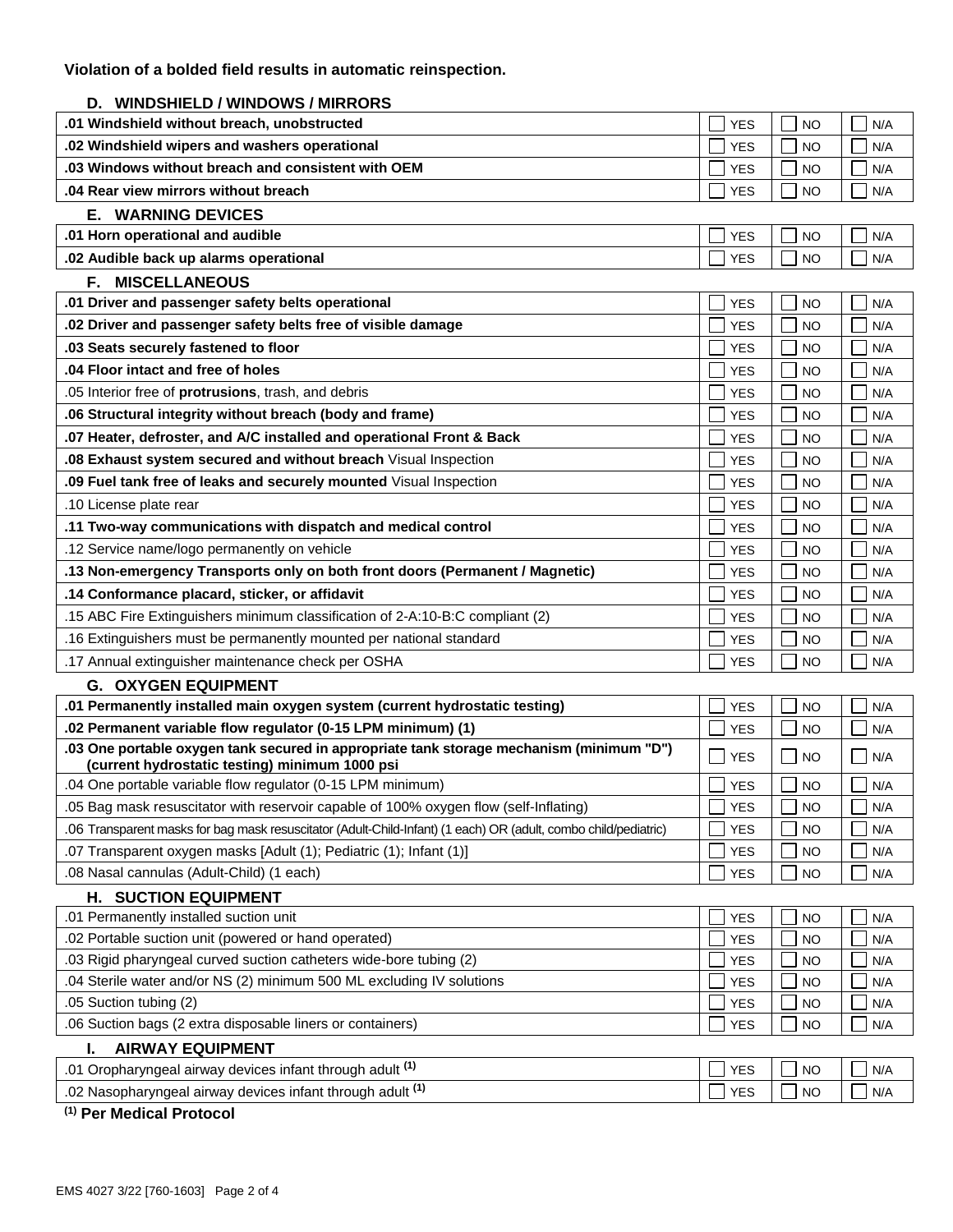## **D. WINDSHIELD / WINDOWS / MIRRORS**

| WINDSHIELD / WINDOWS / WIRRORS                                                                                                             |            |           |     |
|--------------------------------------------------------------------------------------------------------------------------------------------|------------|-----------|-----|
| .01 Windshield without breach, unobstructed                                                                                                | YES        | NO        | N/A |
| .02 Windshield wipers and washers operational                                                                                              |            | <b>NO</b> | N/A |
| .03 Windows without breach and consistent with OEM                                                                                         | <b>YES</b> | <b>NO</b> | N/A |
| .04 Rear view mirrors without breach                                                                                                       | <b>YES</b> | <b>NO</b> | N/A |
| <b>E. WARNING DEVICES</b>                                                                                                                  |            |           |     |
| .01 Horn operational and audible                                                                                                           | YES        | NO        | N/A |
| .02 Audible back up alarms operational                                                                                                     | <b>YES</b> | <b>NO</b> | N/A |
| <b>MISCELLANEOUS</b><br>F. I                                                                                                               |            |           |     |
| .01 Driver and passenger safety belts operational                                                                                          | <b>YES</b> | <b>NO</b> | N/A |
| .02 Driver and passenger safety belts free of visible damage                                                                               | <b>YES</b> | <b>NO</b> | N/A |
| .03 Seats securely fastened to floor                                                                                                       | YES        | NO        | N/A |
| .04 Floor intact and free of holes                                                                                                         | <b>YES</b> | <b>NO</b> | N/A |
| .05 Interior free of <b>protrusions</b> , trash, and debris                                                                                | <b>YES</b> | <b>NO</b> | N/A |
| .06 Structural integrity without breach (body and frame)                                                                                   | <b>YES</b> | <b>NO</b> | N/A |
| .07 Heater, defroster, and A/C installed and operational Front & Back                                                                      | YES        | NO        | N/A |
| .08 Exhaust system secured and without breach Visual Inspection                                                                            | YES        | NO        | N/A |
| .09 Fuel tank free of leaks and securely mounted Visual Inspection                                                                         | <b>YES</b> | <b>NO</b> | N/A |
| .10 License plate rear                                                                                                                     | YES        | <b>NO</b> | N/A |
| .11 Two-way communications with dispatch and medical control                                                                               | <b>YES</b> | <b>NO</b> | N/A |
| .12 Service name/logo permanently on vehicle                                                                                               | YES        | NO        | N/A |
| .13 Non-emergency Transports only on both front doors (Permanent / Magnetic)                                                               | YES        | NO        | N/A |
| .14 Conformance placard, sticker, or affidavit                                                                                             |            | <b>NO</b> | N/A |
| .15 ABC Fire Extinguishers minimum classification of 2-A:10-B:C compliant (2)                                                              | <b>YES</b> | <b>NO</b> | N/A |
| .16 Extinguishers must be permanently mounted per national standard                                                                        | <b>YES</b> | <b>NO</b> | N/A |
| .17 Annual extinguisher maintenance check per OSHA                                                                                         | <b>YES</b> | <b>NO</b> | N/A |
| <b>G. OXYGEN EQUIPMENT</b>                                                                                                                 |            |           |     |
| .01 Permanently installed main oxygen system (current hydrostatic testing)                                                                 | <b>YES</b> | <b>NO</b> | N/A |
| .02 Permanent variable flow regulator (0-15 LPM minimum) (1)                                                                               | YES        | NO        | N/A |
| .03 One portable oxygen tank secured in appropriate tank storage mechanism (minimum "D")<br>(current hydrostatic testing) minimum 1000 psi | <b>YES</b> | NO        | N/A |
| .04 One portable variable flow regulator (0-15 LPM minimum)                                                                                | <b>YES</b> | <b>NO</b> | N/A |
| .05 Bag mask resuscitator with reservoir capable of 100% oxygen flow (self-Inflating)                                                      | <b>YES</b> | <b>NO</b> | N/A |
| .06 Transparent masks for bag mask resuscitator (Adult-Child-Infant) (1 each) OR (adult, combo child/pediatric)                            | <b>YES</b> | <b>NO</b> | N/A |
| .07 Transparent oxygen masks [Adult (1); Pediatric (1); Infant (1)]                                                                        | <b>YES</b> | <b>NO</b> | N/A |
| .08 Nasal cannulas (Adult-Child) (1 each)                                                                                                  | <b>YES</b> | <b>NO</b> | N/A |
| <b>H. SUCTION EQUIPMENT</b>                                                                                                                |            |           |     |
| .01 Permanently installed suction unit                                                                                                     | <b>YES</b> | <b>NO</b> | N/A |
| .02 Portable suction unit (powered or hand operated)                                                                                       | <b>YES</b> | <b>NO</b> | N/A |
| .03 Rigid pharyngeal curved suction catheters wide-bore tubing (2)                                                                         | <b>YES</b> | <b>NO</b> | N/A |
| .04 Sterile water and/or NS (2) minimum 500 ML excluding IV solutions                                                                      |            | <b>NO</b> | N/A |
| .05 Suction tubing (2)                                                                                                                     | <b>YES</b> | <b>NO</b> | N/A |
| .06 Suction bags (2 extra disposable liners or containers)                                                                                 | <b>YES</b> | <b>NO</b> | N/A |
| <b>AIRWAY EQUIPMENT</b><br>ı.                                                                                                              |            |           |     |
| .01 Oropharyngeal airway devices infant through adult (1)                                                                                  | <b>YES</b> | <b>NO</b> | N/A |
| .02 Nasopharyngeal airway devices infant through adult <sup>(1)</sup>                                                                      | <b>YES</b> | <b>NO</b> | N/A |

**(1) Per Medical Protocol**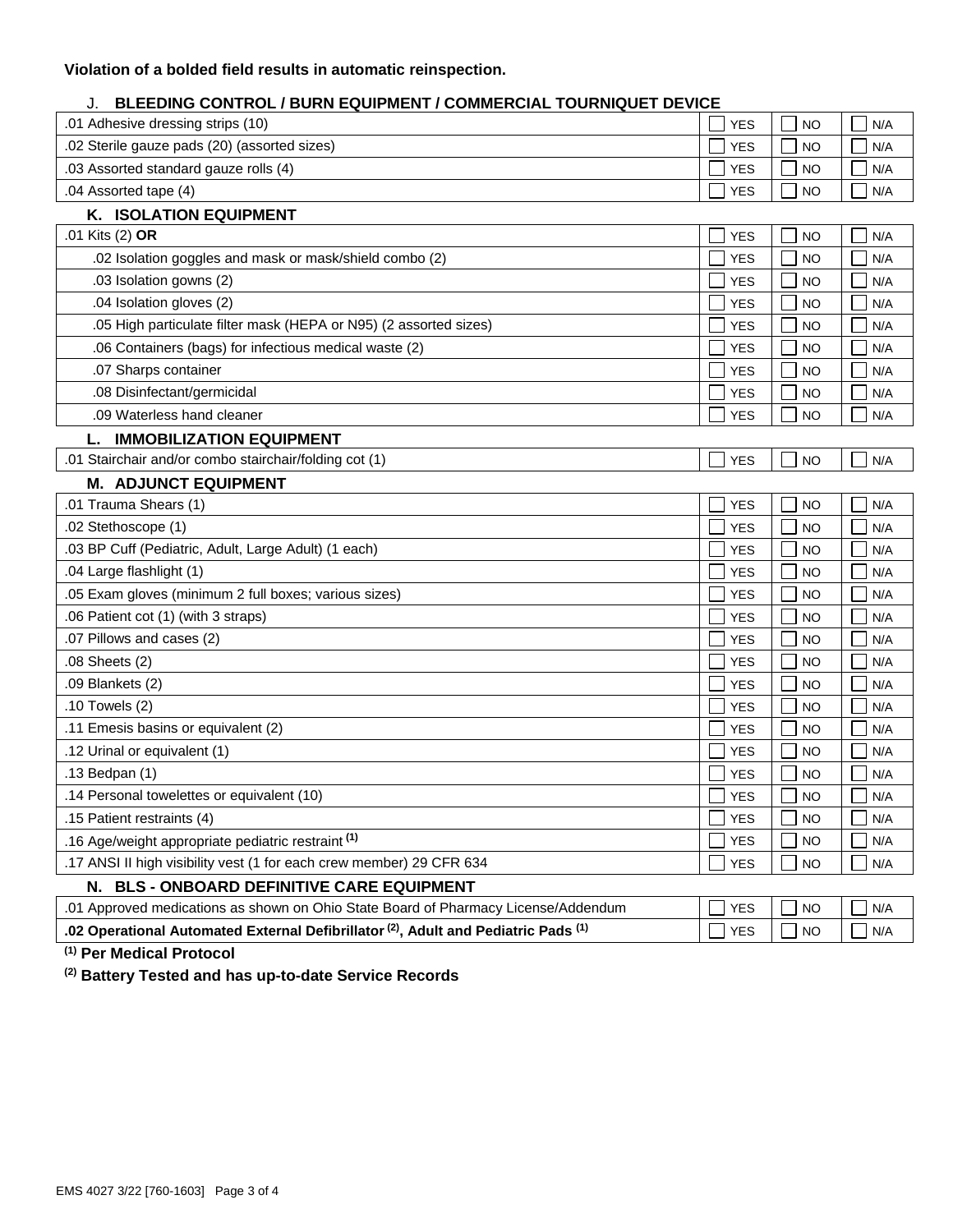## **Violation of a bolded field results in automatic reinspection.**

## J. **BLEEDING CONTROL / BURN EQUIPMENT / COMMERCIAL TOURNIQUET DEVICE**

| .01 Adhesive dressing strips (10)<br><b>NO</b><br><b>YES</b><br>N/A<br>.02 Sterile gauze pads (20) (assorted sizes)<br><b>NO</b><br><b>YES</b><br>N/A<br>.03 Assorted standard gauze rolls (4)<br><b>YES</b><br><b>NO</b><br>N/A<br>.04 Assorted tape (4)<br>N/A<br><b>YES</b><br>NO<br><b>K. ISOLATION EQUIPMENT</b><br>.01 Kits (2) OR<br><b>YES</b><br><b>NO</b><br>N/A<br>.02 Isolation goggles and mask or mask/shield combo (2)<br><b>NO</b><br><b>YES</b><br>N/A<br>.03 Isolation gowns (2)<br><b>YES</b><br><b>NO</b><br>N/A<br>.04 Isolation gloves (2)<br><b>YES</b><br><b>NO</b><br>N/A<br>.05 High particulate filter mask (HEPA or N95) (2 assorted sizes)<br><b>YES</b><br><b>NO</b><br>N/A<br>.06 Containers (bags) for infectious medical waste (2)<br><b>NO</b><br><b>YES</b><br>N/A<br>.07 Sharps container<br><b>NO</b><br><b>YES</b><br>N/A<br>.08 Disinfectant/germicidal<br>N/A<br><b>YES</b><br><b>NO</b><br>.09 Waterless hand cleaner<br><b>NO</b><br>N/A<br><b>YES</b><br><b>IMMOBILIZATION EQUIPMENT</b><br>.01 Stairchair and/or combo stairchair/folding cot (1)<br><b>YES</b><br><b>NO</b><br>N/A<br><b>M. ADJUNCT EQUIPMENT</b><br>.01 Trauma Shears (1)<br><b>YES</b><br><b>NO</b><br>N/A<br>.02 Stethoscope (1)<br><b>YES</b><br><b>NO</b><br>N/A<br>.03 BP Cuff (Pediatric, Adult, Large Adult) (1 each)<br><b>YES</b><br><b>NO</b><br>N/A<br>.04 Large flashlight (1)<br><b>NO</b><br><b>YES</b><br>N/A<br>.05 Exam gloves (minimum 2 full boxes; various sizes)<br><b>NO</b><br><b>YES</b><br>N/A<br>.06 Patient cot (1) (with 3 straps)<br><b>YES</b><br><b>NO</b><br>N/A<br>.07 Pillows and cases (2)<br><b>NO</b><br>N/A<br><b>YES</b><br>.08 Sheets (2)<br><b>YES</b><br><b>NO</b><br>N/A<br>.09 Blankets (2)<br><b>YES</b><br><b>NO</b><br>N/A<br>.10 Towels (2)<br><b>NO</b><br><b>YES</b><br>N/A<br>.11 Emesis basins or equivalent (2)<br><b>YES</b><br><b>NO</b><br>N/A<br>.12 Urinal or equivalent (1)<br><b>NO</b><br>N/A<br><b>YES</b><br>.13 Bedpan (1)<br><b>YES</b><br><b>NO</b><br>N/A<br>.14 Personal towelettes or equivalent (10)<br><b>YES</b><br><b>NO</b><br>N/A<br>.15 Patient restraints (4)<br><b>NO</b><br><b>YES</b><br>N/A<br>.16 Age/weight appropriate pediatric restraint (1)<br><b>YES</b><br><b>NO</b><br>N/A<br>.17 ANSI II high visibility vest (1 for each crew member) 29 CFR 634<br><b>YES</b><br><b>NO</b><br>N/A<br>N. BLS - ONBOARD DEFINITIVE CARE EQUIPMENT<br>.01 Approved medications as shown on Ohio State Board of Pharmacy License/Addendum<br><b>YES</b><br><b>NO</b><br>N/A<br>.02 Operational Automated External Defibrillator <sup>(2)</sup> , Adult and Pediatric Pads <sup>(1)</sup><br><b>NO</b><br>N/A<br><b>YES</b> |  |  |  |  |  |  |
|-------------------------------------------------------------------------------------------------------------------------------------------------------------------------------------------------------------------------------------------------------------------------------------------------------------------------------------------------------------------------------------------------------------------------------------------------------------------------------------------------------------------------------------------------------------------------------------------------------------------------------------------------------------------------------------------------------------------------------------------------------------------------------------------------------------------------------------------------------------------------------------------------------------------------------------------------------------------------------------------------------------------------------------------------------------------------------------------------------------------------------------------------------------------------------------------------------------------------------------------------------------------------------------------------------------------------------------------------------------------------------------------------------------------------------------------------------------------------------------------------------------------------------------------------------------------------------------------------------------------------------------------------------------------------------------------------------------------------------------------------------------------------------------------------------------------------------------------------------------------------------------------------------------------------------------------------------------------------------------------------------------------------------------------------------------------------------------------------------------------------------------------------------------------------------------------------------------------------------------------------------------------------------------------------------------------------------------------------------------------------------------------------------------------------------------------------------------------------------------------------------------------------------------------------------------------------------------------------------------------------------------------------------------------------------------------------------------------|--|--|--|--|--|--|
|                                                                                                                                                                                                                                                                                                                                                                                                                                                                                                                                                                                                                                                                                                                                                                                                                                                                                                                                                                                                                                                                                                                                                                                                                                                                                                                                                                                                                                                                                                                                                                                                                                                                                                                                                                                                                                                                                                                                                                                                                                                                                                                                                                                                                                                                                                                                                                                                                                                                                                                                                                                                                                                                                                                   |  |  |  |  |  |  |
|                                                                                                                                                                                                                                                                                                                                                                                                                                                                                                                                                                                                                                                                                                                                                                                                                                                                                                                                                                                                                                                                                                                                                                                                                                                                                                                                                                                                                                                                                                                                                                                                                                                                                                                                                                                                                                                                                                                                                                                                                                                                                                                                                                                                                                                                                                                                                                                                                                                                                                                                                                                                                                                                                                                   |  |  |  |  |  |  |
|                                                                                                                                                                                                                                                                                                                                                                                                                                                                                                                                                                                                                                                                                                                                                                                                                                                                                                                                                                                                                                                                                                                                                                                                                                                                                                                                                                                                                                                                                                                                                                                                                                                                                                                                                                                                                                                                                                                                                                                                                                                                                                                                                                                                                                                                                                                                                                                                                                                                                                                                                                                                                                                                                                                   |  |  |  |  |  |  |
|                                                                                                                                                                                                                                                                                                                                                                                                                                                                                                                                                                                                                                                                                                                                                                                                                                                                                                                                                                                                                                                                                                                                                                                                                                                                                                                                                                                                                                                                                                                                                                                                                                                                                                                                                                                                                                                                                                                                                                                                                                                                                                                                                                                                                                                                                                                                                                                                                                                                                                                                                                                                                                                                                                                   |  |  |  |  |  |  |
|                                                                                                                                                                                                                                                                                                                                                                                                                                                                                                                                                                                                                                                                                                                                                                                                                                                                                                                                                                                                                                                                                                                                                                                                                                                                                                                                                                                                                                                                                                                                                                                                                                                                                                                                                                                                                                                                                                                                                                                                                                                                                                                                                                                                                                                                                                                                                                                                                                                                                                                                                                                                                                                                                                                   |  |  |  |  |  |  |
|                                                                                                                                                                                                                                                                                                                                                                                                                                                                                                                                                                                                                                                                                                                                                                                                                                                                                                                                                                                                                                                                                                                                                                                                                                                                                                                                                                                                                                                                                                                                                                                                                                                                                                                                                                                                                                                                                                                                                                                                                                                                                                                                                                                                                                                                                                                                                                                                                                                                                                                                                                                                                                                                                                                   |  |  |  |  |  |  |
|                                                                                                                                                                                                                                                                                                                                                                                                                                                                                                                                                                                                                                                                                                                                                                                                                                                                                                                                                                                                                                                                                                                                                                                                                                                                                                                                                                                                                                                                                                                                                                                                                                                                                                                                                                                                                                                                                                                                                                                                                                                                                                                                                                                                                                                                                                                                                                                                                                                                                                                                                                                                                                                                                                                   |  |  |  |  |  |  |
|                                                                                                                                                                                                                                                                                                                                                                                                                                                                                                                                                                                                                                                                                                                                                                                                                                                                                                                                                                                                                                                                                                                                                                                                                                                                                                                                                                                                                                                                                                                                                                                                                                                                                                                                                                                                                                                                                                                                                                                                                                                                                                                                                                                                                                                                                                                                                                                                                                                                                                                                                                                                                                                                                                                   |  |  |  |  |  |  |
|                                                                                                                                                                                                                                                                                                                                                                                                                                                                                                                                                                                                                                                                                                                                                                                                                                                                                                                                                                                                                                                                                                                                                                                                                                                                                                                                                                                                                                                                                                                                                                                                                                                                                                                                                                                                                                                                                                                                                                                                                                                                                                                                                                                                                                                                                                                                                                                                                                                                                                                                                                                                                                                                                                                   |  |  |  |  |  |  |
|                                                                                                                                                                                                                                                                                                                                                                                                                                                                                                                                                                                                                                                                                                                                                                                                                                                                                                                                                                                                                                                                                                                                                                                                                                                                                                                                                                                                                                                                                                                                                                                                                                                                                                                                                                                                                                                                                                                                                                                                                                                                                                                                                                                                                                                                                                                                                                                                                                                                                                                                                                                                                                                                                                                   |  |  |  |  |  |  |
|                                                                                                                                                                                                                                                                                                                                                                                                                                                                                                                                                                                                                                                                                                                                                                                                                                                                                                                                                                                                                                                                                                                                                                                                                                                                                                                                                                                                                                                                                                                                                                                                                                                                                                                                                                                                                                                                                                                                                                                                                                                                                                                                                                                                                                                                                                                                                                                                                                                                                                                                                                                                                                                                                                                   |  |  |  |  |  |  |
|                                                                                                                                                                                                                                                                                                                                                                                                                                                                                                                                                                                                                                                                                                                                                                                                                                                                                                                                                                                                                                                                                                                                                                                                                                                                                                                                                                                                                                                                                                                                                                                                                                                                                                                                                                                                                                                                                                                                                                                                                                                                                                                                                                                                                                                                                                                                                                                                                                                                                                                                                                                                                                                                                                                   |  |  |  |  |  |  |
|                                                                                                                                                                                                                                                                                                                                                                                                                                                                                                                                                                                                                                                                                                                                                                                                                                                                                                                                                                                                                                                                                                                                                                                                                                                                                                                                                                                                                                                                                                                                                                                                                                                                                                                                                                                                                                                                                                                                                                                                                                                                                                                                                                                                                                                                                                                                                                                                                                                                                                                                                                                                                                                                                                                   |  |  |  |  |  |  |
|                                                                                                                                                                                                                                                                                                                                                                                                                                                                                                                                                                                                                                                                                                                                                                                                                                                                                                                                                                                                                                                                                                                                                                                                                                                                                                                                                                                                                                                                                                                                                                                                                                                                                                                                                                                                                                                                                                                                                                                                                                                                                                                                                                                                                                                                                                                                                                                                                                                                                                                                                                                                                                                                                                                   |  |  |  |  |  |  |
|                                                                                                                                                                                                                                                                                                                                                                                                                                                                                                                                                                                                                                                                                                                                                                                                                                                                                                                                                                                                                                                                                                                                                                                                                                                                                                                                                                                                                                                                                                                                                                                                                                                                                                                                                                                                                                                                                                                                                                                                                                                                                                                                                                                                                                                                                                                                                                                                                                                                                                                                                                                                                                                                                                                   |  |  |  |  |  |  |
|                                                                                                                                                                                                                                                                                                                                                                                                                                                                                                                                                                                                                                                                                                                                                                                                                                                                                                                                                                                                                                                                                                                                                                                                                                                                                                                                                                                                                                                                                                                                                                                                                                                                                                                                                                                                                                                                                                                                                                                                                                                                                                                                                                                                                                                                                                                                                                                                                                                                                                                                                                                                                                                                                                                   |  |  |  |  |  |  |
|                                                                                                                                                                                                                                                                                                                                                                                                                                                                                                                                                                                                                                                                                                                                                                                                                                                                                                                                                                                                                                                                                                                                                                                                                                                                                                                                                                                                                                                                                                                                                                                                                                                                                                                                                                                                                                                                                                                                                                                                                                                                                                                                                                                                                                                                                                                                                                                                                                                                                                                                                                                                                                                                                                                   |  |  |  |  |  |  |
|                                                                                                                                                                                                                                                                                                                                                                                                                                                                                                                                                                                                                                                                                                                                                                                                                                                                                                                                                                                                                                                                                                                                                                                                                                                                                                                                                                                                                                                                                                                                                                                                                                                                                                                                                                                                                                                                                                                                                                                                                                                                                                                                                                                                                                                                                                                                                                                                                                                                                                                                                                                                                                                                                                                   |  |  |  |  |  |  |
|                                                                                                                                                                                                                                                                                                                                                                                                                                                                                                                                                                                                                                                                                                                                                                                                                                                                                                                                                                                                                                                                                                                                                                                                                                                                                                                                                                                                                                                                                                                                                                                                                                                                                                                                                                                                                                                                                                                                                                                                                                                                                                                                                                                                                                                                                                                                                                                                                                                                                                                                                                                                                                                                                                                   |  |  |  |  |  |  |
|                                                                                                                                                                                                                                                                                                                                                                                                                                                                                                                                                                                                                                                                                                                                                                                                                                                                                                                                                                                                                                                                                                                                                                                                                                                                                                                                                                                                                                                                                                                                                                                                                                                                                                                                                                                                                                                                                                                                                                                                                                                                                                                                                                                                                                                                                                                                                                                                                                                                                                                                                                                                                                                                                                                   |  |  |  |  |  |  |
|                                                                                                                                                                                                                                                                                                                                                                                                                                                                                                                                                                                                                                                                                                                                                                                                                                                                                                                                                                                                                                                                                                                                                                                                                                                                                                                                                                                                                                                                                                                                                                                                                                                                                                                                                                                                                                                                                                                                                                                                                                                                                                                                                                                                                                                                                                                                                                                                                                                                                                                                                                                                                                                                                                                   |  |  |  |  |  |  |
|                                                                                                                                                                                                                                                                                                                                                                                                                                                                                                                                                                                                                                                                                                                                                                                                                                                                                                                                                                                                                                                                                                                                                                                                                                                                                                                                                                                                                                                                                                                                                                                                                                                                                                                                                                                                                                                                                                                                                                                                                                                                                                                                                                                                                                                                                                                                                                                                                                                                                                                                                                                                                                                                                                                   |  |  |  |  |  |  |
|                                                                                                                                                                                                                                                                                                                                                                                                                                                                                                                                                                                                                                                                                                                                                                                                                                                                                                                                                                                                                                                                                                                                                                                                                                                                                                                                                                                                                                                                                                                                                                                                                                                                                                                                                                                                                                                                                                                                                                                                                                                                                                                                                                                                                                                                                                                                                                                                                                                                                                                                                                                                                                                                                                                   |  |  |  |  |  |  |
|                                                                                                                                                                                                                                                                                                                                                                                                                                                                                                                                                                                                                                                                                                                                                                                                                                                                                                                                                                                                                                                                                                                                                                                                                                                                                                                                                                                                                                                                                                                                                                                                                                                                                                                                                                                                                                                                                                                                                                                                                                                                                                                                                                                                                                                                                                                                                                                                                                                                                                                                                                                                                                                                                                                   |  |  |  |  |  |  |
|                                                                                                                                                                                                                                                                                                                                                                                                                                                                                                                                                                                                                                                                                                                                                                                                                                                                                                                                                                                                                                                                                                                                                                                                                                                                                                                                                                                                                                                                                                                                                                                                                                                                                                                                                                                                                                                                                                                                                                                                                                                                                                                                                                                                                                                                                                                                                                                                                                                                                                                                                                                                                                                                                                                   |  |  |  |  |  |  |
|                                                                                                                                                                                                                                                                                                                                                                                                                                                                                                                                                                                                                                                                                                                                                                                                                                                                                                                                                                                                                                                                                                                                                                                                                                                                                                                                                                                                                                                                                                                                                                                                                                                                                                                                                                                                                                                                                                                                                                                                                                                                                                                                                                                                                                                                                                                                                                                                                                                                                                                                                                                                                                                                                                                   |  |  |  |  |  |  |
|                                                                                                                                                                                                                                                                                                                                                                                                                                                                                                                                                                                                                                                                                                                                                                                                                                                                                                                                                                                                                                                                                                                                                                                                                                                                                                                                                                                                                                                                                                                                                                                                                                                                                                                                                                                                                                                                                                                                                                                                                                                                                                                                                                                                                                                                                                                                                                                                                                                                                                                                                                                                                                                                                                                   |  |  |  |  |  |  |
|                                                                                                                                                                                                                                                                                                                                                                                                                                                                                                                                                                                                                                                                                                                                                                                                                                                                                                                                                                                                                                                                                                                                                                                                                                                                                                                                                                                                                                                                                                                                                                                                                                                                                                                                                                                                                                                                                                                                                                                                                                                                                                                                                                                                                                                                                                                                                                                                                                                                                                                                                                                                                                                                                                                   |  |  |  |  |  |  |
|                                                                                                                                                                                                                                                                                                                                                                                                                                                                                                                                                                                                                                                                                                                                                                                                                                                                                                                                                                                                                                                                                                                                                                                                                                                                                                                                                                                                                                                                                                                                                                                                                                                                                                                                                                                                                                                                                                                                                                                                                                                                                                                                                                                                                                                                                                                                                                                                                                                                                                                                                                                                                                                                                                                   |  |  |  |  |  |  |
|                                                                                                                                                                                                                                                                                                                                                                                                                                                                                                                                                                                                                                                                                                                                                                                                                                                                                                                                                                                                                                                                                                                                                                                                                                                                                                                                                                                                                                                                                                                                                                                                                                                                                                                                                                                                                                                                                                                                                                                                                                                                                                                                                                                                                                                                                                                                                                                                                                                                                                                                                                                                                                                                                                                   |  |  |  |  |  |  |
|                                                                                                                                                                                                                                                                                                                                                                                                                                                                                                                                                                                                                                                                                                                                                                                                                                                                                                                                                                                                                                                                                                                                                                                                                                                                                                                                                                                                                                                                                                                                                                                                                                                                                                                                                                                                                                                                                                                                                                                                                                                                                                                                                                                                                                                                                                                                                                                                                                                                                                                                                                                                                                                                                                                   |  |  |  |  |  |  |
|                                                                                                                                                                                                                                                                                                                                                                                                                                                                                                                                                                                                                                                                                                                                                                                                                                                                                                                                                                                                                                                                                                                                                                                                                                                                                                                                                                                                                                                                                                                                                                                                                                                                                                                                                                                                                                                                                                                                                                                                                                                                                                                                                                                                                                                                                                                                                                                                                                                                                                                                                                                                                                                                                                                   |  |  |  |  |  |  |
|                                                                                                                                                                                                                                                                                                                                                                                                                                                                                                                                                                                                                                                                                                                                                                                                                                                                                                                                                                                                                                                                                                                                                                                                                                                                                                                                                                                                                                                                                                                                                                                                                                                                                                                                                                                                                                                                                                                                                                                                                                                                                                                                                                                                                                                                                                                                                                                                                                                                                                                                                                                                                                                                                                                   |  |  |  |  |  |  |
|                                                                                                                                                                                                                                                                                                                                                                                                                                                                                                                                                                                                                                                                                                                                                                                                                                                                                                                                                                                                                                                                                                                                                                                                                                                                                                                                                                                                                                                                                                                                                                                                                                                                                                                                                                                                                                                                                                                                                                                                                                                                                                                                                                                                                                                                                                                                                                                                                                                                                                                                                                                                                                                                                                                   |  |  |  |  |  |  |
|                                                                                                                                                                                                                                                                                                                                                                                                                                                                                                                                                                                                                                                                                                                                                                                                                                                                                                                                                                                                                                                                                                                                                                                                                                                                                                                                                                                                                                                                                                                                                                                                                                                                                                                                                                                                                                                                                                                                                                                                                                                                                                                                                                                                                                                                                                                                                                                                                                                                                                                                                                                                                                                                                                                   |  |  |  |  |  |  |
|                                                                                                                                                                                                                                                                                                                                                                                                                                                                                                                                                                                                                                                                                                                                                                                                                                                                                                                                                                                                                                                                                                                                                                                                                                                                                                                                                                                                                                                                                                                                                                                                                                                                                                                                                                                                                                                                                                                                                                                                                                                                                                                                                                                                                                                                                                                                                                                                                                                                                                                                                                                                                                                                                                                   |  |  |  |  |  |  |
|                                                                                                                                                                                                                                                                                                                                                                                                                                                                                                                                                                                                                                                                                                                                                                                                                                                                                                                                                                                                                                                                                                                                                                                                                                                                                                                                                                                                                                                                                                                                                                                                                                                                                                                                                                                                                                                                                                                                                                                                                                                                                                                                                                                                                                                                                                                                                                                                                                                                                                                                                                                                                                                                                                                   |  |  |  |  |  |  |

**(1) Per Medical Protocol**

**(2) Battery Tested and has up-to-date Service Records**